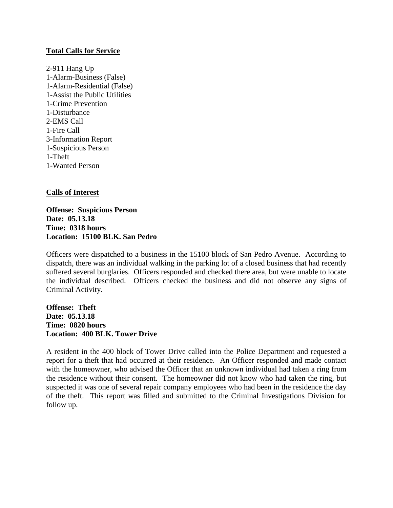## **Total Calls for Service**

2-911 Hang Up 1-Alarm-Business (False) 1-Alarm-Residential (False) 1-Assist the Public Utilities 1-Crime Prevention 1-Disturbance 2-EMS Call 1-Fire Call 3-Information Report 1-Suspicious Person 1-Theft 1-Wanted Person

## **Calls of Interest**

**Offense: Suspicious Person Date: 05.13.18 Time: 0318 hours Location: 15100 BLK. San Pedro**

Officers were dispatched to a business in the 15100 block of San Pedro Avenue. According to dispatch, there was an individual walking in the parking lot of a closed business that had recently suffered several burglaries. Officers responded and checked there area, but were unable to locate the individual described. Officers checked the business and did not observe any signs of Criminal Activity.

**Offense: Theft Date: 05.13.18 Time: 0820 hours Location: 400 BLK. Tower Drive**

A resident in the 400 block of Tower Drive called into the Police Department and requested a report for a theft that had occurred at their residence. An Officer responded and made contact with the homeowner, who advised the Officer that an unknown individual had taken a ring from the residence without their consent. The homeowner did not know who had taken the ring, but suspected it was one of several repair company employees who had been in the residence the day of the theft. This report was filled and submitted to the Criminal Investigations Division for follow up.